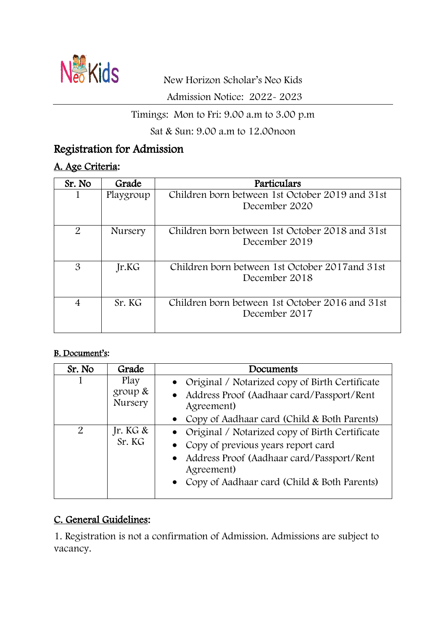

Admission Notice: 2022- 2023

### Timings: Mon to Fri: 9.00 a.m to 3.00 p.m

Sat & Sun: 9.00 a.m to 12.00noon

# Registration for Admission

### A. Age Criteria:

| Sr. No                      | Grade          | Particulars                                                      |
|-----------------------------|----------------|------------------------------------------------------------------|
|                             | Playgroup      | Children born between 1st October 2019 and 31st<br>December 2020 |
| $\mathcal{P}_{\mathcal{L}}$ | <b>Nursery</b> | Children born between 1st October 2018 and 31st<br>December 2019 |
| 3                           | Jr.KG          | Children born between 1st October 2017 and 31st<br>December 2018 |
| $\overline{4}$              | Sr. KG         | Children born between 1st October 2016 and 31st<br>December 2017 |

#### B. Document's:

| Sr. No         | Grade                         | Documents                                                                                                                                                                                               |
|----------------|-------------------------------|---------------------------------------------------------------------------------------------------------------------------------------------------------------------------------------------------------|
|                | Play<br>group $\&$<br>Nursery | • Original / Notarized copy of Birth Certificate<br>• Address Proof (Aadhaar card/Passport/Rent<br>Agreement)<br>• Copy of Aadhaar card (Child & Both Parents)                                          |
| $\overline{2}$ | Jr. KG $\&$<br>Sr. KG         | • Original / Notarized copy of Birth Certificate<br>• Copy of previous years report card<br>• Address Proof (Aadhaar card/Passport/Rent)<br>Agreement)<br>• Copy of Aadhaar card (Child & Both Parents) |

### C. General Guidelines:

1. Registration is not a confirmation of Admission. Admissions are subject to vacancy.